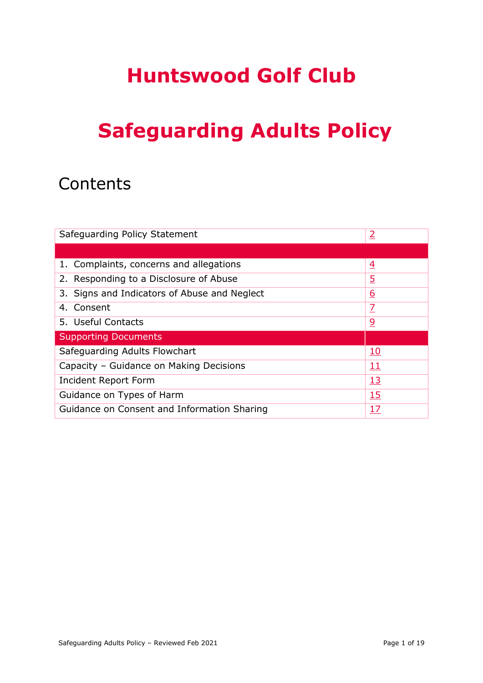# **Safeguarding Adults Policy**

## **Contents**

| Safequarding Policy Statement                             | $\overline{2}$ |
|-----------------------------------------------------------|----------------|
|                                                           |                |
| 1. Complaints, concerns and allegations                   | $\overline{4}$ |
| 2. Responding to a Disclosure of Abuse                    | <u>5</u>       |
| 3. Signs and Indicators of Abuse and Neglect              | <u>6</u>       |
| 4. Consent                                                | $\overline{Z}$ |
| 5. Useful Contacts                                        | $\overline{6}$ |
| <b>Supporting Documents</b>                               |                |
| Safeguarding Adults Flowchart                             | <u>10</u>      |
| Capacity - Guidance on Making Decisions                   | <u> 11</u>     |
| <u>13</u><br>Incident Report Form                         |                |
| <u>15</u><br>Guidance on Types of Harm                    |                |
| Guidance on Consent and Information Sharing<br><u> 17</u> |                |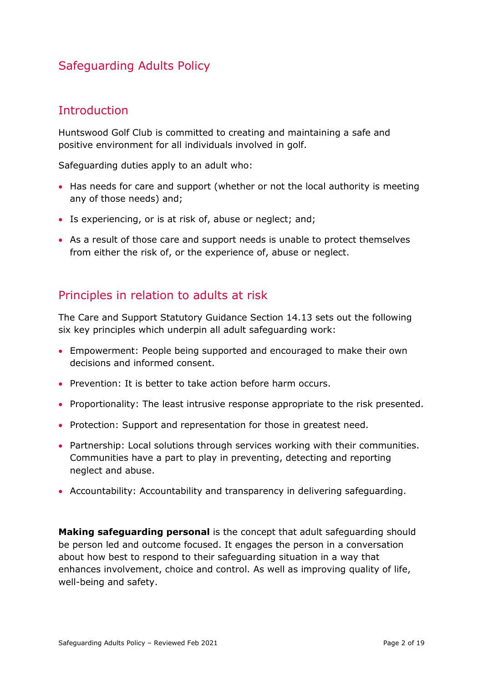## Safeguarding Adults Policy

## <span id="page-1-0"></span>**Introduction**

Huntswood Golf Club is committed to creating and maintaining a safe and positive environment for all individuals involved in golf.

Safeguarding duties apply to an adult who:

- Has needs for care and support (whether or not the local authority is meeting any of those needs) and;
- Is experiencing, or is at risk of, abuse or neglect; and;
- As a result of those care and support needs is unable to protect themselves from either the risk of, or the experience of, abuse or neglect.

## Principles in relation to adults at risk

The Care and Support Statutory Guidance Section 14.13 sets out the following six key principles which underpin all adult safeguarding work:

- Empowerment: People being supported and encouraged to make their own decisions and informed consent.
- Prevention: It is better to take action before harm occurs.
- Proportionality: The least intrusive response appropriate to the risk presented.
- Protection: Support and representation for those in greatest need.
- Partnership: Local solutions through services working with their communities. Communities have a part to play in preventing, detecting and reporting neglect and abuse.
- Accountability: Accountability and transparency in delivering safeguarding.

**Making safeguarding personal** is the concept that adult safeguarding should be person led and outcome focused. It engages the person in a conversation about how best to respond to their safeguarding situation in a way that enhances involvement, choice and control. As well as improving quality of life, well-being and safety.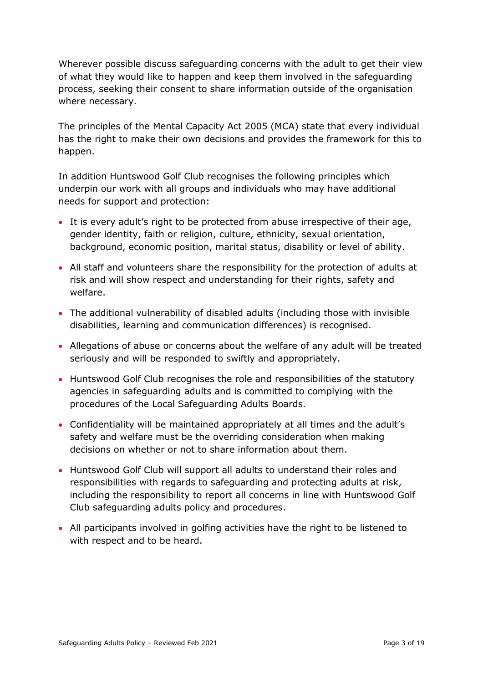Wherever possible discuss safeguarding concerns with the adult to get their view of what they would like to happen and keep them involved in the safeguarding process, seeking their consent to share information outside of the organisation where necessary.

The principles of the Mental Capacity Act 2005 (MCA) state that every individual has the right to make their own decisions and provides the framework for this to happen.

In addition Huntswood Golf Club recognises the following principles which underpin our work with all groups and individuals who may have additional needs for support and protection:

- It is every adult's right to be protected from abuse irrespective of their age, gender identity, faith or religion, culture, ethnicity, sexual orientation, background, economic position, marital status, disability or level of ability.
- All staff and volunteers share the responsibility for the protection of adults at risk and will show respect and understanding for their rights, safety and welfare.
- The additional vulnerability of disabled adults (including those with invisible disabilities, learning and communication differences) is recognised.
- Allegations of abuse or concerns about the welfare of any adult will be treated seriously and will be responded to swiftly and appropriately.
- Huntswood Golf Club recognises the role and responsibilities of the statutory agencies in safeguarding adults and is committed to complying with the procedures of the Local Safeguarding Adults Boards.
- Confidentiality will be maintained appropriately at all times and the adult's safety and welfare must be the overriding consideration when making decisions on whether or not to share information about them.
- Huntswood Golf Club will support all adults to understand their roles and responsibilities with regards to safeguarding and protecting adults at risk, including the responsibility to report all concerns in line with Huntswood Golf Club safeguarding adults policy and procedures.
- All participants involved in golfing activities have the right to be listened to with respect and to be heard.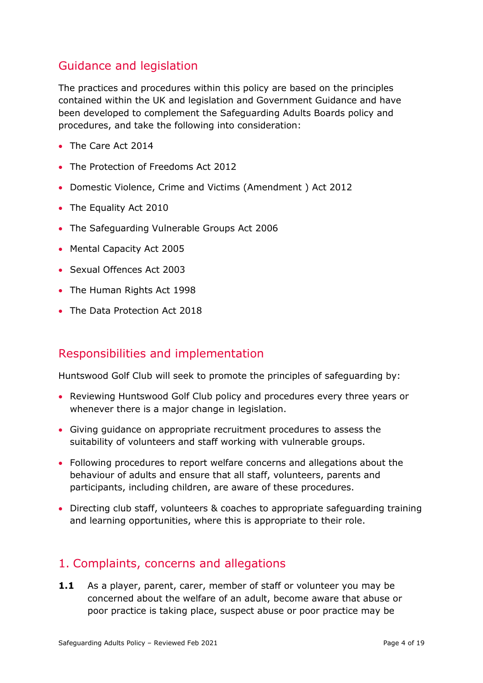## Guidance and legislation

The practices and procedures within this policy are based on the principles contained within the UK and legislation and Government Guidance and have been developed to complement the Safeguarding Adults Boards policy and procedures, and take the following into consideration:

- The Care Act 2014
- The Protection of Freedoms Act 2012
- Domestic Violence, Crime and Victims (Amendment ) Act 2012
- The Equality Act 2010
- The Safeguarding Vulnerable Groups Act 2006
- Mental Capacity Act 2005
- Sexual Offences Act 2003
- The Human Rights Act 1998
- The Data Protection Act 2018

## Responsibilities and implementation

Huntswood Golf Club will seek to promote the principles of safeguarding by:

- Reviewing Huntswood Golf Club policy and procedures every three years or whenever there is a major change in legislation.
- Giving guidance on appropriate recruitment procedures to assess the suitability of volunteers and staff working with vulnerable groups.
- Following procedures to report welfare concerns and allegations about the behaviour of adults and ensure that all staff, volunteers, parents and participants, including children, are aware of these procedures.
- Directing club staff, volunteers & coaches to appropriate safeguarding training and learning opportunities, where this is appropriate to their role.

## <span id="page-3-0"></span>1. Complaints, concerns and allegations

**1.1** As a player, parent, carer, member of staff or volunteer you may be concerned about the welfare of an adult, become aware that abuse or poor practice is taking place, suspect abuse or poor practice may be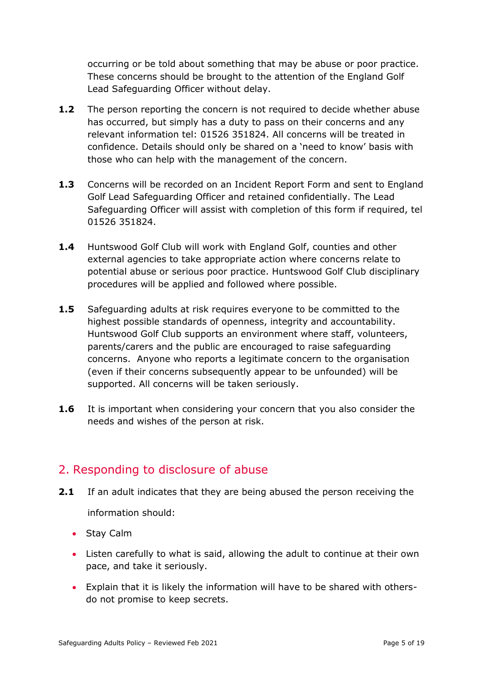occurring or be told about something that may be abuse or poor practice. These concerns should be brought to the attention of the England Golf Lead Safeguarding Officer without delay.

- **1.2** The person reporting the concern is not required to decide whether abuse has occurred, but simply has a duty to pass on their concerns and any relevant information tel: 01526 351824. All concerns will be treated in confidence. Details should only be shared on a 'need to know' basis with those who can help with the management of the concern.
- **1.3** Concerns will be recorded on an Incident Report Form and sent to England Golf Lead Safeguarding Officer and retained confidentially. The Lead Safeguarding Officer will assist with completion of this form if required, tel 01526 351824.
- **1.4** Huntswood Golf Club will work with England Golf, counties and other external agencies to take appropriate action where concerns relate to potential abuse or serious poor practice. Huntswood Golf Club disciplinary procedures will be applied and followed where possible.
- **1.5** Safeguarding adults at risk requires everyone to be committed to the highest possible standards of openness, integrity and accountability. Huntswood Golf Club supports an environment where staff, volunteers, parents/carers and the public are encouraged to raise safeguarding concerns. Anyone who reports a legitimate concern to the organisation (even if their concerns subsequently appear to be unfounded) will be supported. All concerns will be taken seriously.
- **1.6** It is important when considering your concern that you also consider the needs and wishes of the person at risk.

## <span id="page-4-0"></span>2. Responding to disclosure of abuse

- **2.1** If an adult indicates that they are being abused the person receiving the information should:
	- Stay Calm
	- Listen carefully to what is said, allowing the adult to continue at their own pace, and take it seriously.
	- Explain that it is likely the information will have to be shared with othersdo not promise to keep secrets.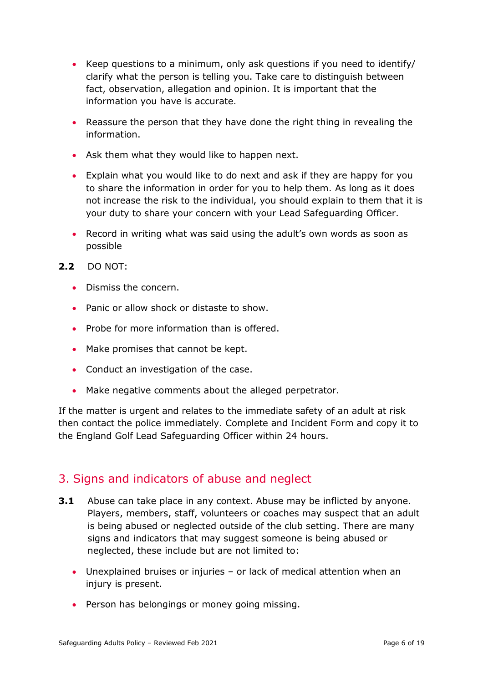- Keep questions to a minimum, only ask questions if you need to identify/ clarify what the person is telling you. Take care to distinguish between fact, observation, allegation and opinion. It is important that the information you have is accurate.
- Reassure the person that they have done the right thing in revealing the information.
- Ask them what they would like to happen next.
- Explain what you would like to do next and ask if they are happy for you to share the information in order for you to help them. As long as it does not increase the risk to the individual, you should explain to them that it is your duty to share your concern with your Lead Safeguarding Officer.
- Record in writing what was said using the adult's own words as soon as possible
- **2.2** DO NOT:
	- Dismiss the concern.
	- Panic or allow shock or distaste to show.
	- Probe for more information than is offered.
	- Make promises that cannot be kept.
	- Conduct an investigation of the case.
	- Make negative comments about the alleged perpetrator.

If the matter is urgent and relates to the immediate safety of an adult at risk then contact the police immediately. Complete and Incident Form and copy it to the England Golf Lead Safeguarding Officer within 24 hours.

## <span id="page-5-0"></span>3. Signs and indicators of abuse and neglect

- **3.1** Abuse can take place in any context. Abuse may be inflicted by anyone. Players, members, staff, volunteers or coaches may suspect that an adult is being abused or neglected outside of the club setting. There are many signs and indicators that may suggest someone is being abused or neglected, these include but are not limited to:
	- Unexplained bruises or injuries or lack of medical attention when an injury is present.
	- Person has belongings or money going missing.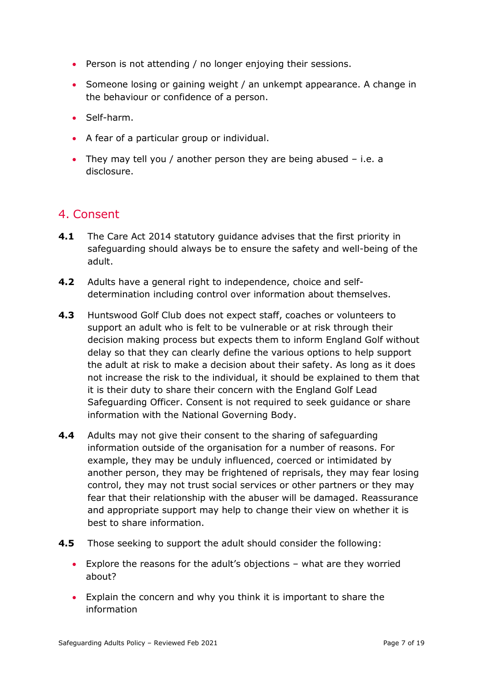- Person is not attending / no longer enjoying their sessions.
- Someone losing or gaining weight / an unkempt appearance. A change in the behaviour or confidence of a person.
- Self-harm.
- A fear of a particular group or individual.
- They may tell you / another person they are being abused i.e. a disclosure.

## <span id="page-6-0"></span>4. Consent

- **4.1** The Care Act 2014 statutory guidance advises that the first priority in safeguarding should always be to ensure the safety and well-being of the adult.
- **4.2** Adults have a general right to independence, choice and selfdetermination including control over information about themselves.
- **4.3** Huntswood Golf Club does not expect staff, coaches or volunteers to support an adult who is felt to be vulnerable or at risk through their decision making process but expects them to inform England Golf without delay so that they can clearly define the various options to help support the adult at risk to make a decision about their safety. As long as it does not increase the risk to the individual, it should be explained to them that it is their duty to share their concern with the England Golf Lead Safeguarding Officer. Consent is not required to seek guidance or share information with the National Governing Body.
- **4.4** Adults may not give their consent to the sharing of safeguarding information outside of the organisation for a number of reasons. For example, they may be unduly influenced, coerced or intimidated by another person, they may be frightened of reprisals, they may fear losing control, they may not trust social services or other partners or they may fear that their relationship with the abuser will be damaged. Reassurance and appropriate support may help to change their view on whether it is best to share information.
- **4.5** Those seeking to support the adult should consider the following:
	- Explore the reasons for the adult's objections what are they worried about?
	- Explain the concern and why you think it is important to share the information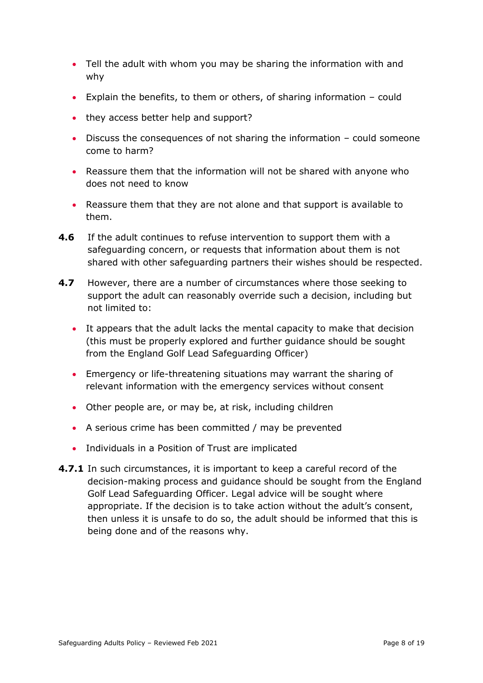- Tell the adult with whom you may be sharing the information with and why
- Explain the benefits, to them or others, of sharing information could
- they access better help and support?
- Discuss the consequences of not sharing the information could someone come to harm?
- Reassure them that the information will not be shared with anyone who does not need to know
- Reassure them that they are not alone and that support is available to them.
- **4.6** If the adult continues to refuse intervention to support them with a safeguarding concern, or requests that information about them is not shared with other safeguarding partners their wishes should be respected.
- **4.7** However, there are a number of circumstances where those seeking to support the adult can reasonably override such a decision, including but not limited to:
	- It appears that the adult lacks the mental capacity to make that decision (this must be properly explored and further guidance should be sought from the England Golf Lead Safeguarding Officer)
	- Emergency or life-threatening situations may warrant the sharing of relevant information with the emergency services without consent
	- Other people are, or may be, at risk, including children
	- A serious crime has been committed / may be prevented
	- Individuals in a Position of Trust are implicated
- **4.7.1** In such circumstances, it is important to keep a careful record of the decision-making process and guidance should be sought from the England Golf Lead Safeguarding Officer. Legal advice will be sought where appropriate. If the decision is to take action without the adult's consent, then unless it is unsafe to do so, the adult should be informed that this is being done and of the reasons why.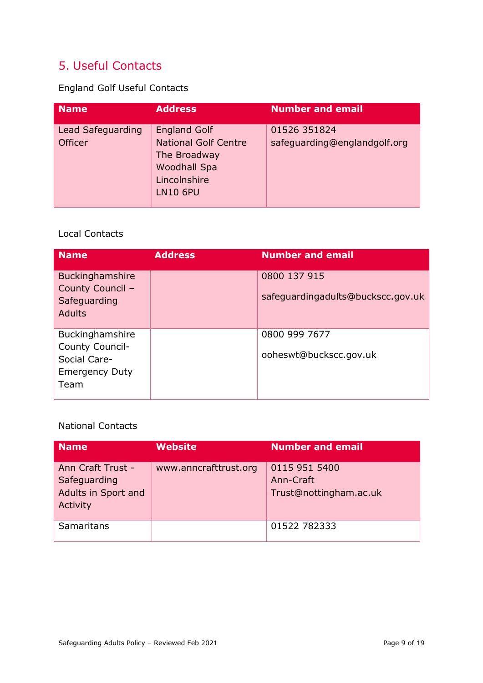## <span id="page-8-0"></span>5. Useful Contacts

England Golf Useful Contacts

| <b>Name</b>                         | <b>Address</b>                                                                                                               | <b>Number and email</b>                      |
|-------------------------------------|------------------------------------------------------------------------------------------------------------------------------|----------------------------------------------|
| Lead Safeguarding<br><b>Officer</b> | <b>England Golf</b><br><b>National Golf Centre</b><br>The Broadway<br><b>Woodhall Spa</b><br>Lincolnshire<br><b>LN10 6PU</b> | 01526 351824<br>safeguarding@englandgolf.org |

#### Local Contacts

| <b>Name</b>                                                                         | <b>Address</b> | <b>Number and email</b>                           |
|-------------------------------------------------------------------------------------|----------------|---------------------------------------------------|
| Buckinghamshire<br>County Council -<br>Safeguarding<br><b>Adults</b>                |                | 0800 137 915<br>safeguardingadults@buckscc.gov.uk |
| Buckinghamshire<br>County Council-<br>Social Care-<br><b>Emergency Duty</b><br>Team |                | 0800 999 7677<br>ooheswt@buckscc.gov.uk           |

National Contacts

| <b>Name</b>                                                          | <b>Website</b>        | <b>Number and email</b>                              |
|----------------------------------------------------------------------|-----------------------|------------------------------------------------------|
| Ann Craft Trust -<br>Safeguarding<br>Adults in Sport and<br>Activity | www.anncrafttrust.org | 0115 951 5400<br>Ann-Craft<br>Trust@nottingham.ac.uk |
| Samaritans                                                           |                       | 01522 782333                                         |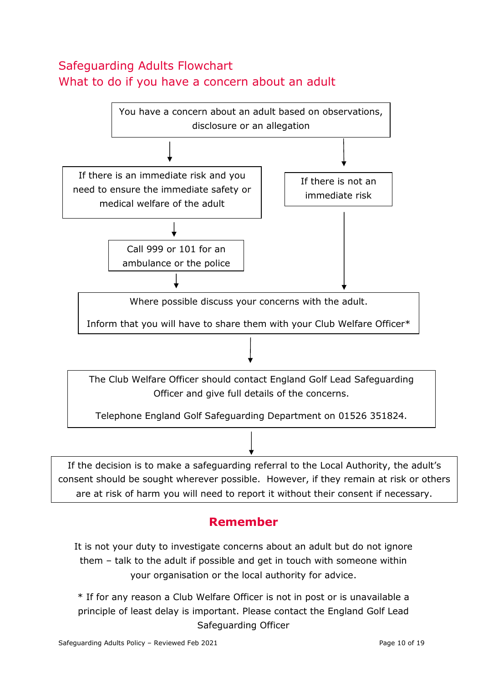## <span id="page-9-0"></span>Safeguarding Adults Flowchart What to do if you have a concern about an adult



## **Remember**

It is not your duty to investigate concerns about an adult but do not ignore them – talk to the adult if possible and get in touch with someone within your organisation or the local authority for advice.

\* If for any reason a Club Welfare Officer is not in post or is unavailable a principle of least delay is important. Please contact the England Golf Lead Safeguarding Officer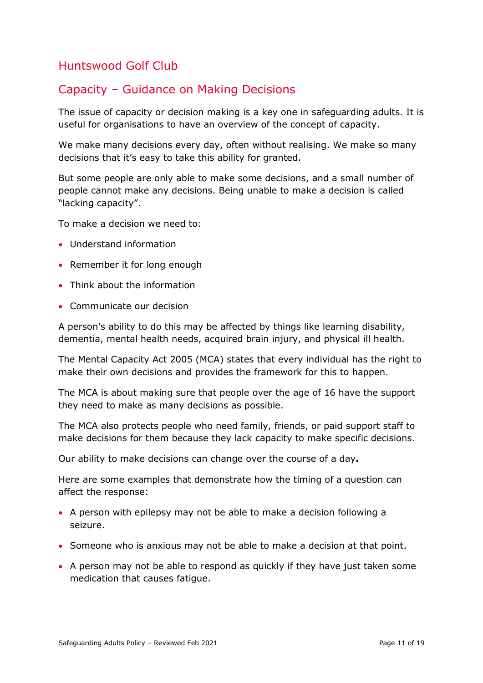## <span id="page-10-0"></span>Capacity – Guidance on Making Decisions

The issue of capacity or decision making is a key one in safeguarding adults. It is useful for organisations to have an overview of the concept of capacity.

We make many decisions every day, often without realising. We make so many decisions that it's easy to take this ability for granted.

But some people are only able to make some decisions, and a small number of people cannot make any decisions. Being unable to make a decision is called "lacking capacity".

To make a decision we need to:

- Understand information
- Remember it for long enough
- Think about the information
- Communicate our decision

A person's ability to do this may be affected by things like learning disability, dementia, mental health needs, acquired brain injury, and physical ill health.

The Mental Capacity Act 2005 (MCA) states that every individual has the right to make their own decisions and provides the framework for this to happen.

The MCA is about making sure that people over the age of 16 have the support they need to make as many decisions as possible.

The MCA also protects people who need family, friends, or paid support staff to make decisions for them because they lack capacity to make specific decisions.

Our ability to make decisions can change over the course of a day**.**

Here are some examples that demonstrate how the timing of a question can affect the response:

- A person with epilepsy may not be able to make a decision following a seizure.
- Someone who is anxious may not be able to make a decision at that point.
- A person may not be able to respond as quickly if they have just taken some medication that causes fatigue.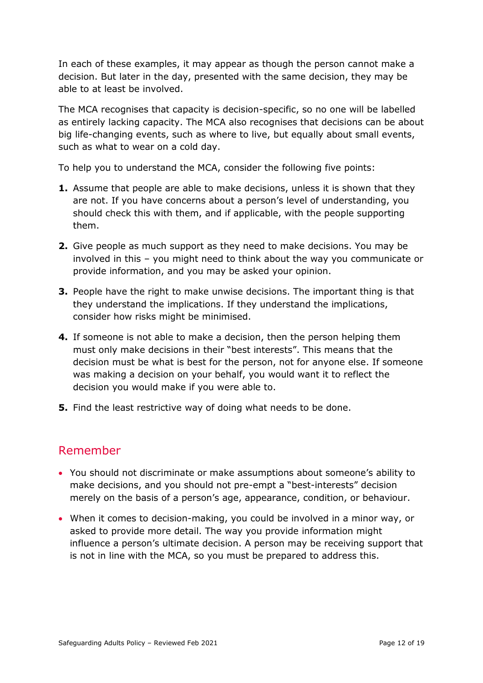In each of these examples, it may appear as though the person cannot make a decision. But later in the day, presented with the same decision, they may be able to at least be involved.

The MCA recognises that capacity is decision-specific, so no one will be labelled as entirely lacking capacity. The MCA also recognises that decisions can be about big life-changing events, such as where to live, but equally about small events, such as what to wear on a cold day.

To help you to understand the MCA, consider the following five points:

- **1.** Assume that people are able to make decisions, unless it is shown that they are not. If you have concerns about a person's level of understanding, you should check this with them, and if applicable, with the people supporting them.
- **2.** Give people as much support as they need to make decisions. You may be involved in this – you might need to think about the way you communicate or provide information, and you may be asked your opinion.
- **3.** People have the right to make unwise decisions. The important thing is that they understand the implications. If they understand the implications, consider how risks might be minimised.
- **4.** If someone is not able to make a decision, then the person helping them must only make decisions in their "best interests". This means that the decision must be what is best for the person, not for anyone else. If someone was making a decision on your behalf, you would want it to reflect the decision you would make if you were able to.
- **5.** Find the least restrictive way of doing what needs to be done.

## Remember

- You should not discriminate or make assumptions about someone's ability to make decisions, and you should not pre-empt a "best-interests" decision merely on the basis of a person's age, appearance, condition, or behaviour.
- When it comes to decision-making, you could be involved in a minor way, or asked to provide more detail. The way you provide information might influence a person's ultimate decision. A person may be receiving support that is not in line with the MCA, so you must be prepared to address this.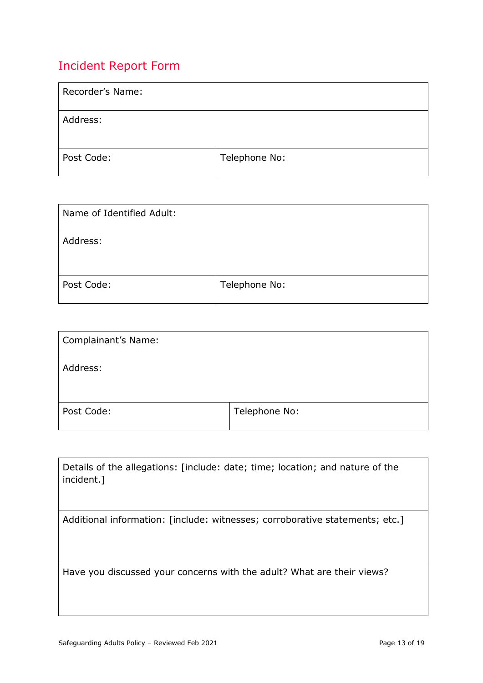## <span id="page-12-0"></span>Incident Report Form

| Recorder's Name: |               |
|------------------|---------------|
| Address:         |               |
| Post Code:       | Telephone No: |

| Name of Identified Adult: |               |
|---------------------------|---------------|
| Address:                  |               |
| Post Code:                | Telephone No: |

| Complainant's Name: |               |
|---------------------|---------------|
| Address:            |               |
| Post Code:          | Telephone No: |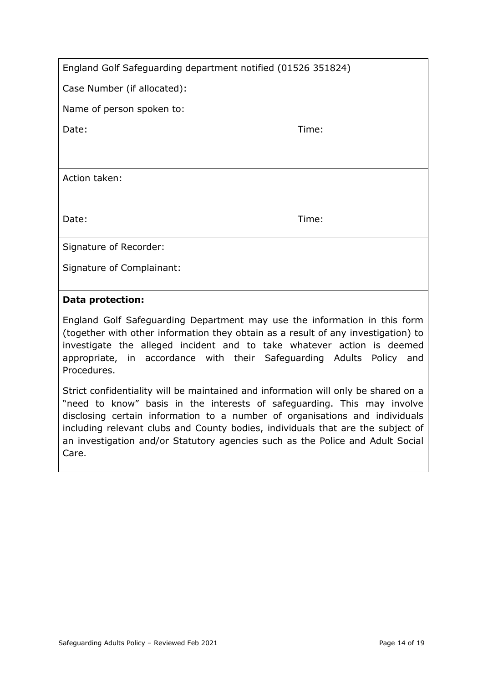| England Golf Safeguarding department notified (01526 351824) |
|--------------------------------------------------------------|
|--------------------------------------------------------------|

Case Number (if allocated):

Name of person spoken to:

Date: Time: Time: Time: Time: Time: Time: Time: Time: Time: Time: Time: Time: Time: Time: Time: Time: Time: Time: Time: Time: Time: Time: Time: Time: Time: Time: Time: Time: Time: Time: Time: Time: Time: Time: Time: Time:

Action taken:

Date: Time: Time: Time: Time: Time: Time: Time: Time: Time: Time: Time: Time: Time: Time: Time: Time: Time: Time: Time: Time: Time: Time: Time: Time: Time: Time: Time: Time: Time: Time: Time: Time: Time: Time: Time: Time:

Signature of Recorder:

Signature of Complainant:

#### **Data protection:**

England Golf Safeguarding Department may use the information in this form (together with other information they obtain as a result of any investigation) to investigate the alleged incident and to take whatever action is deemed appropriate, in accordance with their Safeguarding Adults Policy and Procedures.

Strict confidentiality will be maintained and information will only be shared on a "need to know" basis in the interests of safeguarding. This may involve disclosing certain information to a number of organisations and individuals including relevant clubs and County bodies, individuals that are the subject of an investigation and/or Statutory agencies such as the Police and Adult Social Care.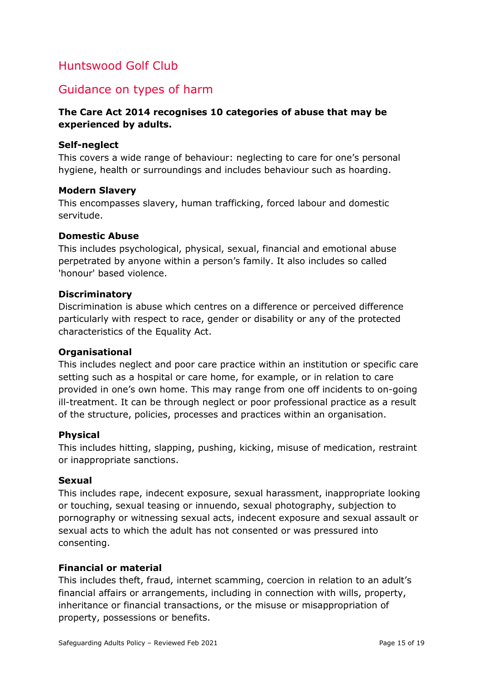## <span id="page-14-0"></span>Guidance on types of harm

#### **The Care Act 2014 recognises 10 categories of abuse that may be experienced by adults.**

#### **Self-neglect**

This covers a wide range of behaviour: neglecting to care for one's personal hygiene, health or surroundings and includes behaviour such as hoarding.

#### **Modern Slavery**

This encompasses slavery, human trafficking, forced labour and domestic servitude.

#### **Domestic Abuse**

This includes psychological, physical, sexual, financial and emotional abuse perpetrated by anyone within a person's family. It also includes so called 'honour' based violence.

#### **Discriminatory**

Discrimination is abuse which centres on a difference or perceived difference particularly with respect to race, gender or disability or any of the protected characteristics of the Equality Act.

#### **Organisational**

This includes neglect and poor care practice within an institution or specific care setting such as a hospital or care home, for example, or in relation to care provided in one's own home. This may range from one off incidents to on-going ill-treatment. It can be through neglect or poor professional practice as a result of the structure, policies, processes and practices within an organisation.

#### **Physical**

This includes hitting, slapping, pushing, kicking, misuse of medication, restraint or inappropriate sanctions.

#### **Sexual**

This includes rape, indecent exposure, sexual harassment, inappropriate looking or touching, sexual teasing or innuendo, sexual photography, subjection to pornography or witnessing sexual acts, indecent exposure and sexual assault or sexual acts to which the adult has not consented or was pressured into consenting.

#### **Financial or material**

This includes theft, fraud, internet scamming, coercion in relation to an adult's financial affairs or arrangements, including in connection with wills, property, inheritance or financial transactions, or the misuse or misappropriation of property, possessions or benefits.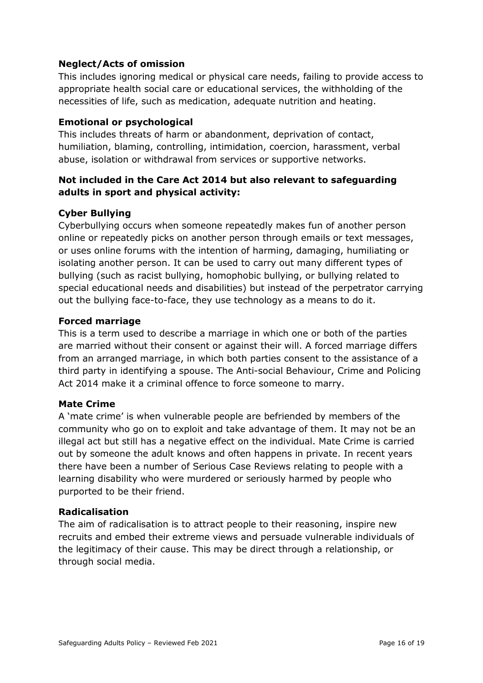#### **Neglect/Acts of omission**

This includes ignoring medical or physical care needs, failing to provide access to appropriate health social care or educational services, the withholding of the necessities of life, such as medication, adequate nutrition and heating.

#### **Emotional or psychological**

This includes threats of harm or abandonment, deprivation of contact, humiliation, blaming, controlling, intimidation, coercion, harassment, verbal abuse, isolation or withdrawal from services or supportive networks.

#### **Not included in the Care Act 2014 but also relevant to safeguarding adults in sport and physical activity:**

#### **Cyber Bullying**

Cyberbullying occurs when someone repeatedly makes fun of another person online or repeatedly picks on another person through emails or text messages, or uses online forums with the intention of harming, damaging, humiliating or isolating another person. It can be used to carry out many different types of bullying (such as racist bullying, homophobic bullying, or bullying related to special educational needs and disabilities) but instead of the perpetrator carrying out the bullying face-to-face, they use technology as a means to do it.

#### **Forced marriage**

This is a term used to describe a marriage in which one or both of the parties are married without their consent or against their will. A forced marriage differs from an arranged marriage, in which both parties consent to the assistance of a third party in identifying a spouse. The Anti-social Behaviour, Crime and Policing Act 2014 make it a criminal offence to force someone to marry.

#### **Mate Crime**

A 'mate crime' is when vulnerable people are befriended by members of the community who go on to exploit and take advantage of them. It may not be an illegal act but still has a negative effect on the individual. Mate Crime is carried out by someone the adult knows and often happens in private. In recent years there have been a number of Serious Case Reviews relating to people with a learning disability who were murdered or seriously harmed by people who purported to be their friend.

#### **Radicalisation**

The aim of radicalisation is to attract people to their reasoning, inspire new recruits and embed their extreme views and persuade vulnerable individuals of the legitimacy of their cause. This may be direct through a relationship, or through social media.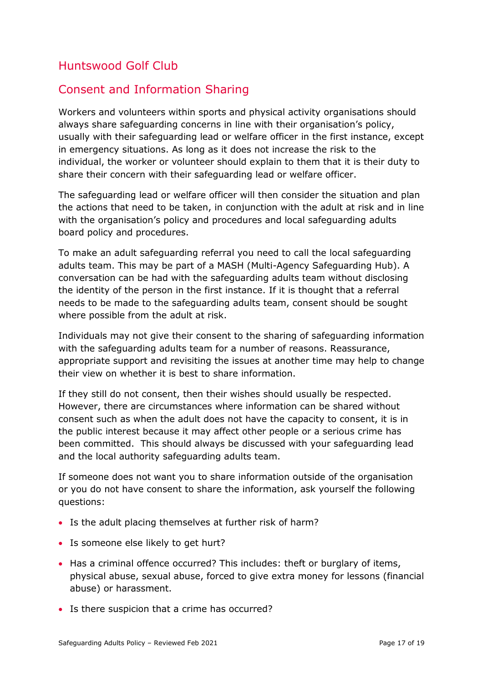## <span id="page-16-0"></span>Consent and Information Sharing

Workers and volunteers within sports and physical activity organisations should always share safeguarding concerns in line with their organisation's policy, usually with their safeguarding lead or welfare officer in the first instance, except in emergency situations. As long as it does not increase the risk to the individual, the worker or volunteer should explain to them that it is their duty to share their concern with their safeguarding lead or welfare officer.

The safeguarding lead or welfare officer will then consider the situation and plan the actions that need to be taken, in conjunction with the adult at risk and in line with the organisation's policy and procedures and local safeguarding adults board policy and procedures.

To make an adult safeguarding referral you need to call the local safeguarding adults team. This may be part of a MASH (Multi*-*Agency Safeguarding Hub). A conversation can be had with the safeguarding adults team without disclosing the identity of the person in the first instance. If it is thought that a referral needs to be made to the safeguarding adults team, consent should be sought where possible from the adult at risk.

Individuals may not give their consent to the sharing of safeguarding information with the safeguarding adults team for a number of reasons. Reassurance, appropriate support and revisiting the issues at another time may help to change their view on whether it is best to share information.

If they still do not consent, then their wishes should usually be respected. However, there are circumstances where information can be shared without consent such as when the adult does not have the capacity to consent, it is in the public interest because it may affect other people or a serious crime has been committed. This should always be discussed with your safeguarding lead and the local authority safeguarding adults team.

If someone does not want you to share information outside of the organisation or you do not have consent to share the information, ask yourself the following questions:

- Is the adult placing themselves at further risk of harm?
- Is someone else likely to get hurt?
- Has a criminal offence occurred? This includes: theft or burglary of items, physical abuse, sexual abuse, forced to give extra money for lessons (financial abuse) or harassment.
- Is there suspicion that a crime has occurred?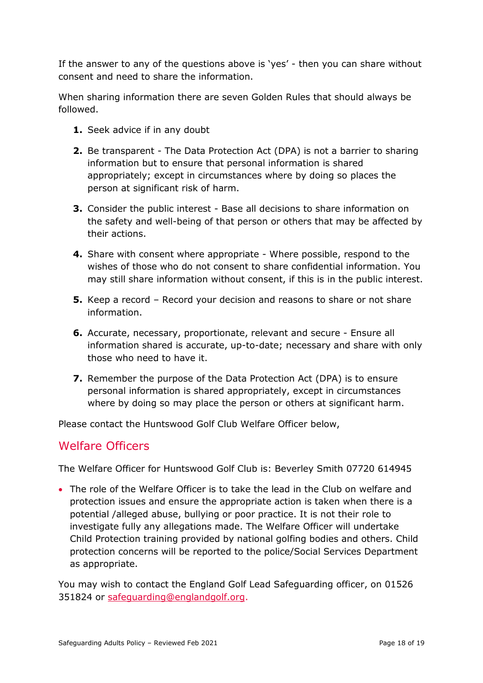If the answer to any of the questions above is 'yes' - then you can share without consent and need to share the information.

When sharing information there are seven Golden Rules that should always be followed.

- **1.** Seek advice if in any doubt
- **2.** Be transparent The Data Protection Act (DPA) is not a barrier to sharing information but to ensure that personal information is shared appropriately; except in circumstances where by doing so places the person at significant risk of harm.
- **3.** Consider the public interest Base all decisions to share information on the safety and well-being of that person or others that may be affected by their actions.
- **4.** Share with consent where appropriate Where possible, respond to the wishes of those who do not consent to share confidential information. You may still share information without consent, if this is in the public interest.
- **5.** Keep a record Record your decision and reasons to share or not share information.
- **6.** Accurate, necessary, proportionate, relevant and secure Ensure all information shared is accurate, up-to-date; necessary and share with only those who need to have it.
- **7.** Remember the purpose of the Data Protection Act (DPA) is to ensure personal information is shared appropriately, except in circumstances where by doing so may place the person or others at significant harm.

Please contact the Huntswood Golf Club Welfare Officer below,

## Welfare Officers

The Welfare Officer for Huntswood Golf Club is: Beverley Smith 07720 614945

 The role of the Welfare Officer is to take the lead in the Club on welfare and protection issues and ensure the appropriate action is taken when there is a potential /alleged abuse, bullying or poor practice. It is not their role to investigate fully any allegations made. The Welfare Officer will undertake Child Protection training provided by national golfing bodies and others. Child protection concerns will be reported to the police/Social Services Department as appropriate.

You may wish to contact the England Golf Lead Safeguarding officer, on 01526 351824 or [safeguarding@englandgolf.org.](mailto:safeguarding@englandgolf.org)